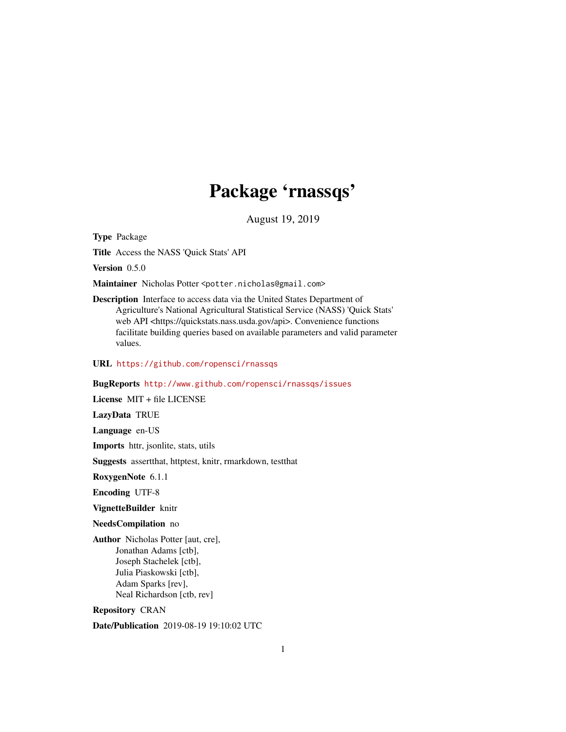# Package 'rnassqs'

August 19, 2019

<span id="page-0-0"></span>Type Package

Title Access the NASS 'Quick Stats' API

Version 0.5.0

Maintainer Nicholas Potter <potter.nicholas@gmail.com>

Description Interface to access data via the United States Department of Agriculture's National Agricultural Statistical Service (NASS) 'Quick Stats' web API <https://quickstats.nass.usda.gov/api>. Convenience functions facilitate building queries based on available parameters and valid parameter values.

URL <https://github.com/ropensci/rnassqs>

#### BugReports <http://www.github.com/ropensci/rnassqs/issues>

License MIT + file LICENSE

LazyData TRUE

Language en-US

Imports httr, jsonlite, stats, utils

Suggests assertthat, httptest, knitr, rmarkdown, testthat

RoxygenNote 6.1.1

Encoding UTF-8

VignetteBuilder knitr

NeedsCompilation no

Author Nicholas Potter [aut, cre], Jonathan Adams [ctb], Joseph Stachelek [ctb], Julia Piaskowski [ctb], Adam Sparks [rev], Neal Richardson [ctb, rev]

Repository CRAN

Date/Publication 2019-08-19 19:10:02 UTC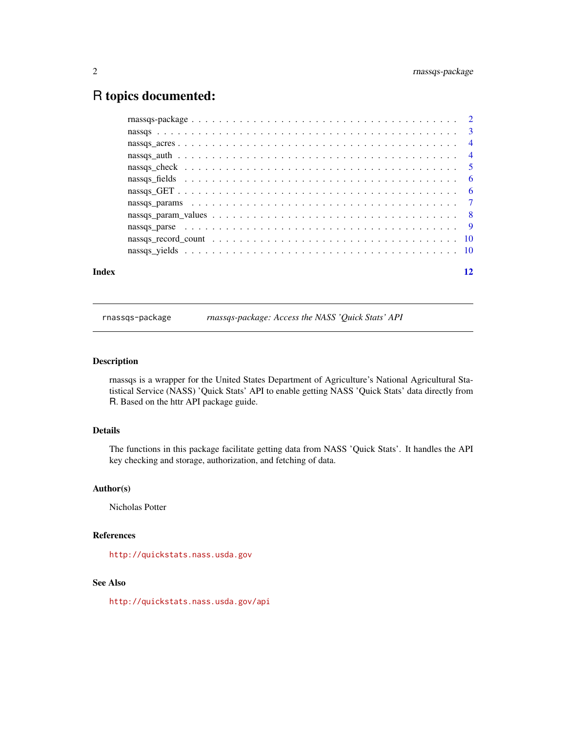# <span id="page-1-0"></span>R topics documented:

| Index | 12 |
|-------|----|
|       |    |
|       |    |
|       |    |
|       |    |
|       |    |
|       |    |
|       |    |
|       |    |
|       |    |
|       |    |
|       |    |
|       |    |

rnassqs-package *rnassqs-package: Access the NASS 'Quick Stats' API*

# Description

rnassqs is a wrapper for the United States Department of Agriculture's National Agricultural Statistical Service (NASS) 'Quick Stats' API to enable getting NASS 'Quick Stats' data directly from R. Based on the httr API package guide.

# Details

The functions in this package facilitate getting data from NASS 'Quick Stats'. It handles the API key checking and storage, authorization, and fetching of data.

# Author(s)

Nicholas Potter

#### References

<http://quickstats.nass.usda.gov>

# See Also

<http://quickstats.nass.usda.gov/api>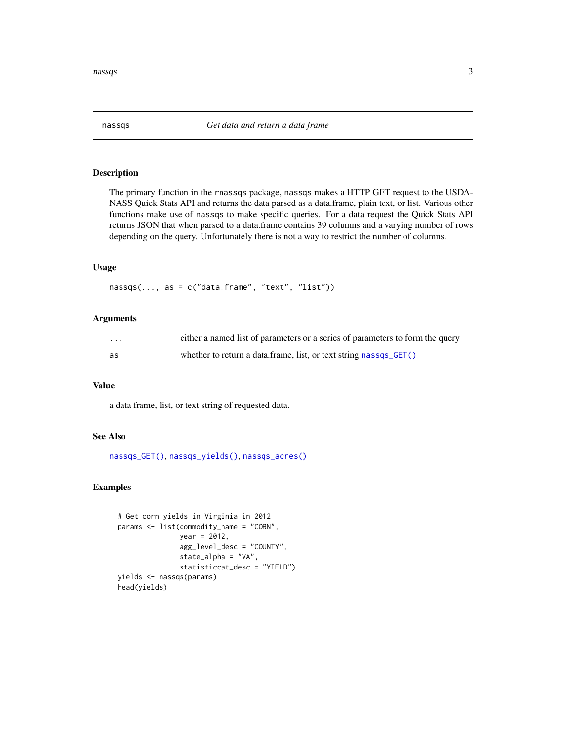<span id="page-2-1"></span><span id="page-2-0"></span>

The primary function in the rnassqs package, nassqs makes a HTTP GET request to the USDA-NASS Quick Stats API and returns the data parsed as a data.frame, plain text, or list. Various other functions make use of nassqs to make specific queries. For a data request the Quick Stats API returns JSON that when parsed to a data.frame contains 39 columns and a varying number of rows depending on the query. Unfortunately there is not a way to restrict the number of columns.

# Usage

 $massqs(..., as = c("data-frame", "text", "list"))$ 

#### Arguments

| $\cdots$ | either a named list of parameters or a series of parameters to form the query |
|----------|-------------------------------------------------------------------------------|
| as       | whether to return a data frame, list, or text string nassqs_GET()             |

# Value

a data frame, list, or text string of requested data.

# See Also

[nassqs\\_GET\(\)](#page-5-1), [nassqs\\_yields\(\)](#page-9-1), [nassqs\\_acres\(\)](#page-3-1)

# Examples

```
# Get corn yields in Virginia in 2012
params <- list(commodity_name = "CORN",
               year = 2012,
               agg_level_desc = "COUNTY",
               state_alpha = "VA",
               statisticcat_desc = "YIELD")
yields <- nassqs(params)
head(yields)
```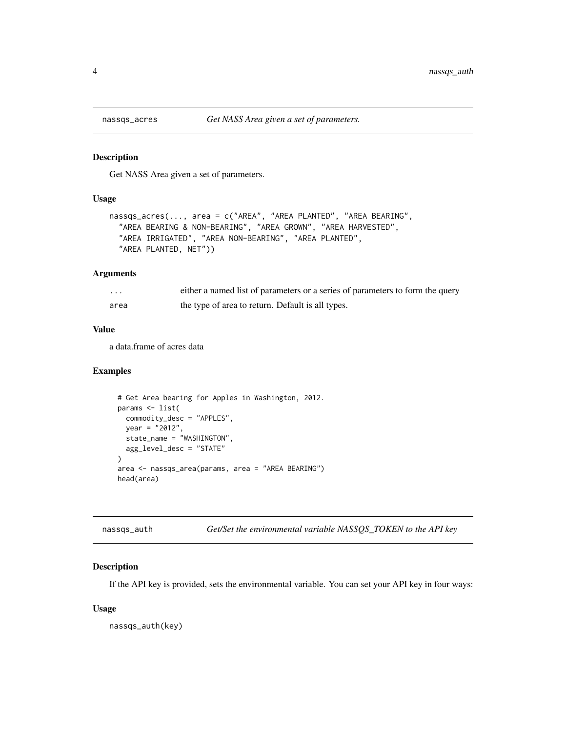<span id="page-3-1"></span><span id="page-3-0"></span>

Get NASS Area given a set of parameters.

# Usage

```
nassqs_acres(..., area = c("AREA", "AREA PLANTED", "AREA BEARING",
  "AREA BEARING & NON-BEARING", "AREA GROWN", "AREA HARVESTED",
  "AREA IRRIGATED", "AREA NON-BEARING", "AREA PLANTED",
  "AREA PLANTED, NET"))
```
# Arguments

| $\cdots$ | either a named list of parameters or a series of parameters to form the query |
|----------|-------------------------------------------------------------------------------|
| area     | the type of area to return. Default is all types.                             |

#### Value

a data.frame of acres data

# Examples

```
# Get Area bearing for Apples in Washington, 2012.
params <- list(
 commodity_desc = "APPLES",
 year = "2012",
 state_name = "WASHINGTON",
  agg_level_desc = "STATE"
\lambdaarea <- nassqs_area(params, area = "AREA BEARING")
head(area)
```

| nassgs_auth | Get/Set the environmental variable NASSQS_TOKEN to the API key |
|-------------|----------------------------------------------------------------|
|             |                                                                |

# Description

If the API key is provided, sets the environmental variable. You can set your API key in four ways:

#### Usage

nassqs\_auth(key)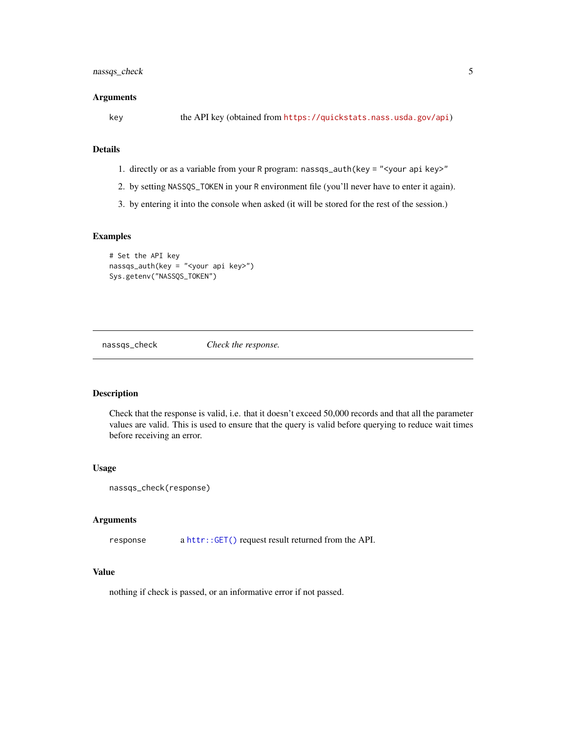# <span id="page-4-0"></span>nassqs\_check 5

#### **Arguments**

key the API key (obtained from <https://quickstats.nass.usda.gov/api>)

# Details

- 1. directly or as a variable from your R program: nassqs\_auth(key = "<your api key>"
- 2. by setting NASSQS\_TOKEN in your R environment file (you'll never have to enter it again).
- 3. by entering it into the console when asked (it will be stored for the rest of the session.)

#### Examples

```
# Set the API key
nassqs_auth(key = "<your api key>")
Sys.getenv("NASSQS_TOKEN")
```
nassqs\_check *Check the response.*

# Description

Check that the response is valid, i.e. that it doesn't exceed 50,000 records and that all the parameter values are valid. This is used to ensure that the query is valid before querying to reduce wait times before receiving an error.

# Usage

```
nassqs_check(response)
```
#### Arguments

response a [httr::GET\(\)](#page-0-0) request result returned from the API.

# Value

nothing if check is passed, or an informative error if not passed.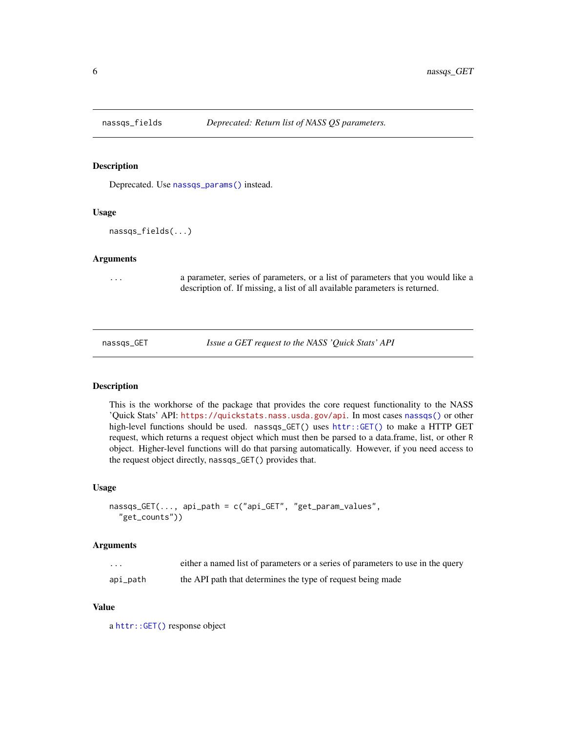<span id="page-5-0"></span>

Deprecated. Use [nassqs\\_params\(\)](#page-6-1) instead.

# Usage

nassqs\_fields(...)

# Arguments

... a parameter, series of parameters, or a list of parameters that you would like a description of. If missing, a list of all available parameters is returned.

<span id="page-5-1"></span>nassqs\_GET *Issue a GET request to the NASS 'Quick Stats' API*

#### Description

This is the workhorse of the package that provides the core request functionality to the NASS 'Quick Stats' API: <https://quickstats.nass.usda.gov/api>. In most cases [nassqs\(\)](#page-2-1) or other high-level functions should be used. nassqs\_GET() uses [httr::GET\(\)](#page-0-0) to make a HTTP GET request, which returns a request object which must then be parsed to a data.frame, list, or other R object. Higher-level functions will do that parsing automatically. However, if you need access to the request object directly, nassqs\_GET() provides that.

#### Usage

```
nassqs_GET(..., api_path = c("api_GET", "get_param_values",
  "get_counts"))
```
#### Arguments

| .        | either a named list of parameters or a series of parameters to use in the query |
|----------|---------------------------------------------------------------------------------|
| api_path | the API path that determines the type of request being made                     |

#### Value

a [httr::GET\(\)](#page-0-0) response object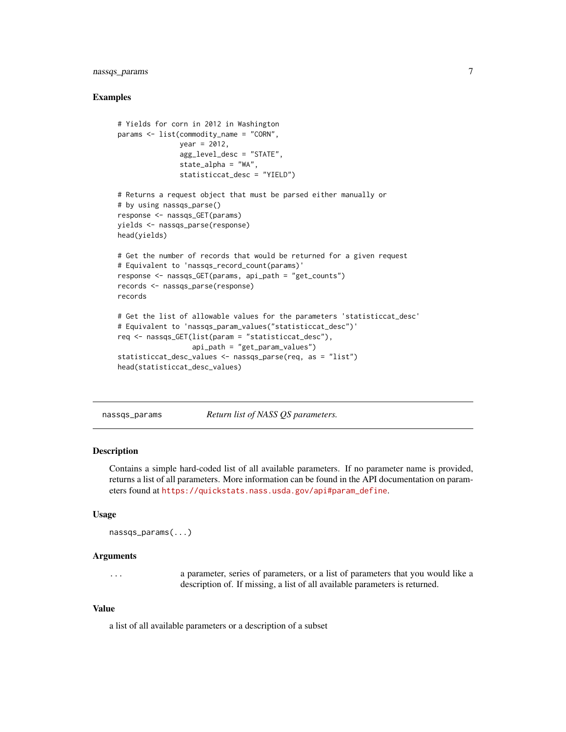# <span id="page-6-0"></span>nassqs\_params 7

#### Examples

```
# Yields for corn in 2012 in Washington
params <- list(commodity_name = "CORN",
               year = 2012.
               agg_level_desc = "STATE",
               state_alpha = "WA",
               statisticcat_desc = "YIELD")
# Returns a request object that must be parsed either manually or
# by using nassqs_parse()
response <- nassqs_GET(params)
yields <- nassqs_parse(response)
head(yields)
# Get the number of records that would be returned for a given request
# Equivalent to 'nassqs_record_count(params)'
response <- nassqs_GET(params, api_path = "get_counts")
records <- nassqs_parse(response)
records
# Get the list of allowable values for the parameters 'statisticcat_desc'
# Equivalent to 'nassqs_param_values("statisticcat_desc")'
req <- nassqs_GET(list(param = "statisticcat_desc"),
                  api_path = "get_param_values")
statisticcat_desc_values <- nassqs_parse(req, as = "list")
head(statisticcat_desc_values)
```
<span id="page-6-1"></span>

nassqs\_params *Return list of NASS QS parameters.*

#### **Description**

Contains a simple hard-coded list of all available parameters. If no parameter name is provided, returns a list of all parameters. More information can be found in the API documentation on parameters found at [https://quickstats.nass.usda.gov/api#param\\_define](https://quickstats.nass.usda.gov/api#param_define).

#### Usage

```
nassqs_params(...)
```
#### Arguments

... a parameter, series of parameters, or a list of parameters that you would like a description of. If missing, a list of all available parameters is returned.

#### Value

a list of all available parameters or a description of a subset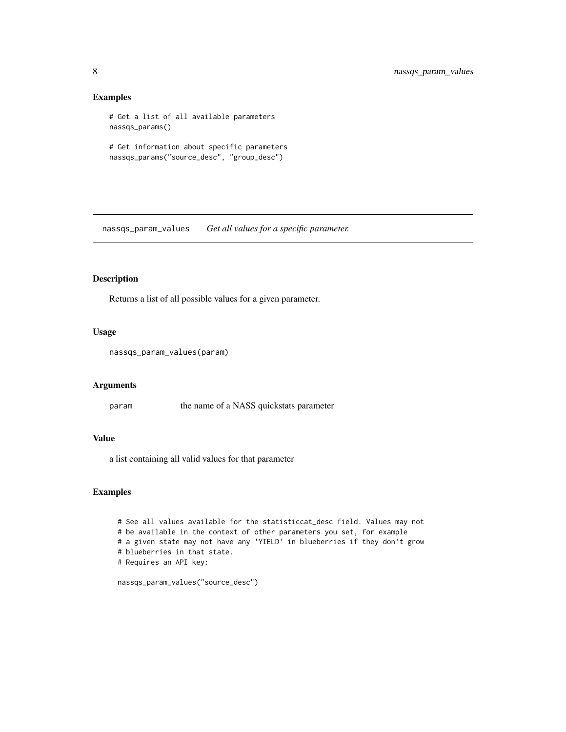# Examples

```
# Get a list of all available parameters
nassqs_params()
# Get information about specific parameters
nassqs_params("source_desc", "group_desc")
```
nassqs\_param\_values *Get all values for a specific parameter.*

# Description

Returns a list of all possible values for a given parameter.

#### Usage

```
nassqs_param_values(param)
```
#### Arguments

param the name of a NASS quickstats parameter

# Value

a list containing all valid values for that parameter

### Examples

# See all values available for the statisticcat\_desc field. Values may not # be available in the context of other parameters you set, for example # a given state may not have any 'YIELD' in blueberries if they don't grow # blueberries in that state. # Requires an API key:

nassqs\_param\_values("source\_desc")

<span id="page-7-0"></span>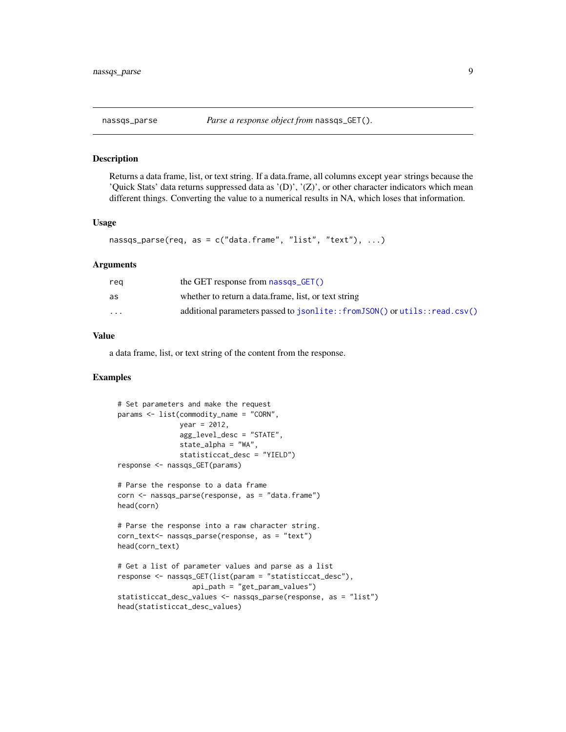<span id="page-8-0"></span>

Returns a data frame, list, or text string. If a data.frame, all columns except year strings because the 'Quick Stats' data returns suppressed data as ' $(D)$ ', ' $(Z)$ ', or other character indicators which mean different things. Converting the value to a numerical results in NA, which loses that information.

### Usage

```
nassqs_parse(req, as = c("data.frame", "list", "text"), ...)
```
#### Arguments

| rea                  | the GET response from $n$ nassqs $GET()$                                  |
|----------------------|---------------------------------------------------------------------------|
| as                   | whether to return a data frame, list, or text string                      |
| $\ddot{\phantom{0}}$ | additional parameters passed to jsonlite::fromJSON() or utils::read.csv() |

# Value

a data frame, list, or text string of the content from the response.

#### Examples

```
# Set parameters and make the request
params <- list(commodity_name = "CORN",
               year = 2012,agg_level_desc = "STATE",
               statelpha = "WA",
               statisticcat_desc = "YIELD")
response <- nassqs_GET(params)
# Parse the response to a data frame
corn <- nassqs_parse(response, as = "data.frame")
head(corn)
# Parse the response into a raw character string.
corn_text<- nassqs_parse(response, as = "text")
head(corn_text)
# Get a list of parameter values and parse as a list
response <- nassqs_GET(list(param = "statisticcat_desc"),
                  api_path = "get_param_values")
statisticcat_desc_values <- nassqs_parse(response, as = "list")
head(statisticcat_desc_values)
```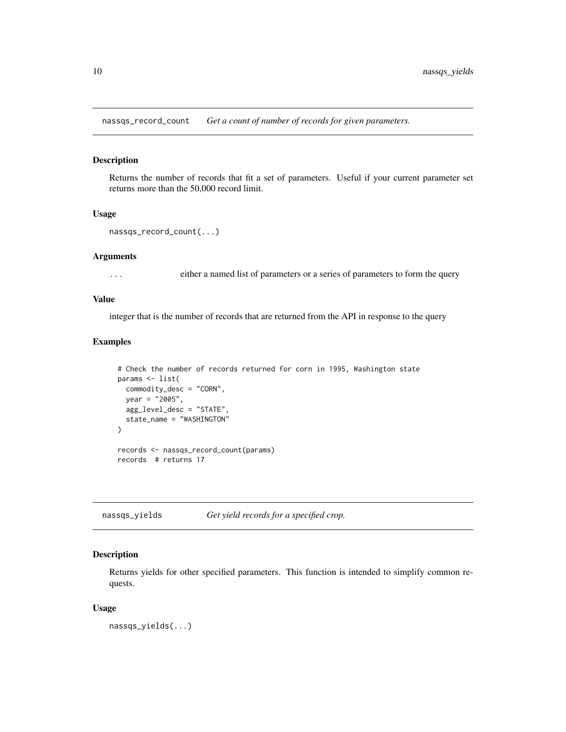<span id="page-9-0"></span>nassqs\_record\_count *Get a count of number of records for given parameters.*

#### Description

Returns the number of records that fit a set of parameters. Useful if your current parameter set returns more than the 50,000 record limit.

#### Usage

```
nassqs_record_count(...)
```
#### Arguments

... either a named list of parameters or a series of parameters to form the query

# Value

integer that is the number of records that are returned from the API in response to the query

# Examples

```
# Check the number of records returned for corn in 1995, Washington state
params <- list(
 commodity_desc = "CORN",
 year = "2005",
 agg_level_desc = "STATE",
  state_name = "WASHINGTON"
)
records <- nassqs_record_count(params)
records # returns 17
```
<span id="page-9-1"></span>nassqs\_yields *Get yield records for a specified crop.*

# Description

Returns yields for other specified parameters. This function is intended to simplify common requests.

#### Usage

nassqs\_yields(...)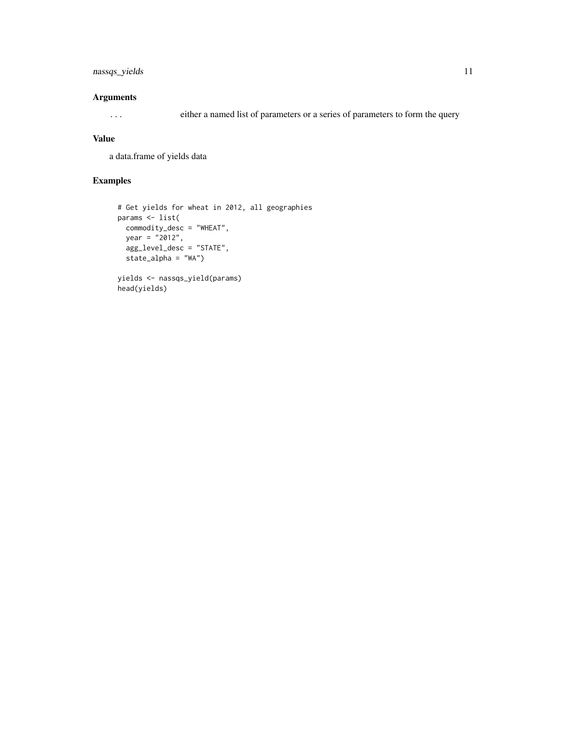# nassqs\_yields 11

# Arguments

... either a named list of parameters or a series of parameters to form the query

### Value

a data.frame of yields data

# Examples

```
# Get yields for wheat in 2012, all geographies
params <- list(
 commodity_desc = "WHEAT",
 year = "2012",
 agg_level_desc = "STATE",
 state_alpha = "WA")
yields <- nassqs_yield(params)
head(yields)
```